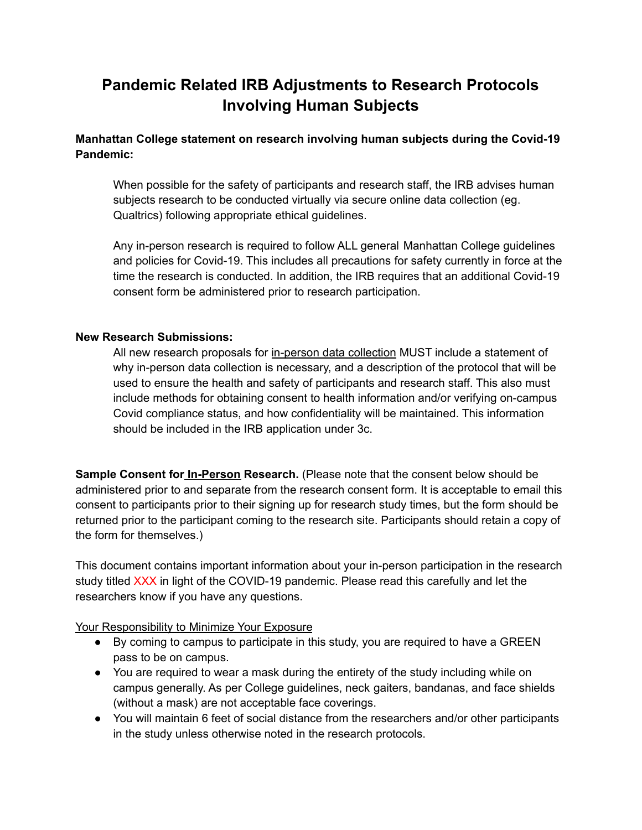## **Pandemic Related IRB Adjustments to Research Protocols Involving Human Subjects**

**Manhattan College statement on research involving human subjects during the Covid-19 Pandemic:**

When possible for the safety of participants and research staff, the IRB advises human subjects research to be conducted virtually via secure online data collection (eg. Qualtrics) following appropriate ethical guidelines.

Any in-person research is required to follow ALL general Manhattan College guidelines and policies for Covid-19. This includes all precautions for safety currently in force at the time the research is conducted. In addition, the IRB requires that an additional Covid-19 consent form be administered prior to research participation.

## **New Research Submissions:**

All new research proposals for in-person data collection MUST include a statement of why in-person data collection is necessary, and a description of the protocol that will be used to ensure the health and safety of participants and research staff. This also must include methods for obtaining consent to health information and/or verifying on-campus Covid compliance status, and how confidentiality will be maintained. This information should be included in the IRB application under 3c.

**Sample Consent for In-Person Research.** (Please note that the consent below should be administered prior to and separate from the research consent form. It is acceptable to email this consent to participants prior to their signing up for research study times, but the form should be returned prior to the participant coming to the research site. Participants should retain a copy of the form for themselves.)

This document contains important information about your in-person participation in the research study titled XXX in light of the COVID-19 pandemic. Please read this carefully and let the researchers know if you have any questions.

Your Responsibility to Minimize Your Exposure

- By coming to campus to participate in this study, you are required to have a GREEN pass to be on campus.
- You are required to wear a mask during the entirety of the study including while on campus generally. As per College guidelines, neck gaiters, bandanas, and face shields (without a mask) are not acceptable face coverings.
- You will maintain 6 feet of social distance from the researchers and/or other participants in the study unless otherwise noted in the research protocols.